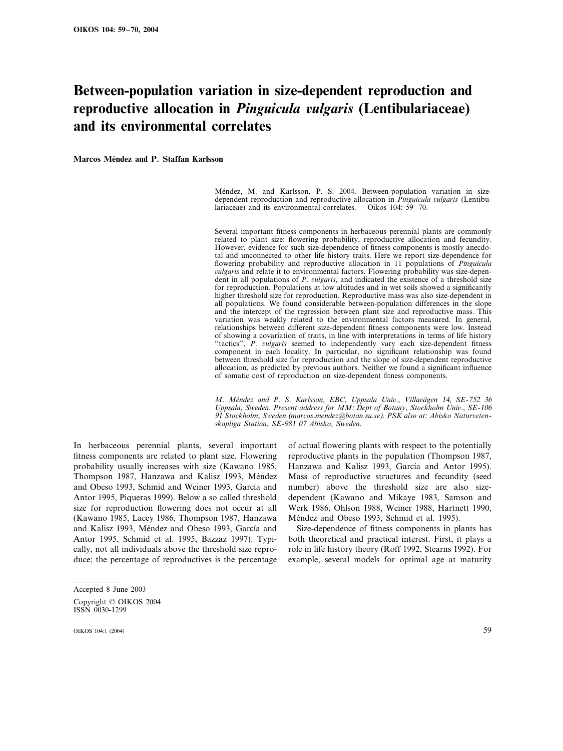# **Between-population variation in size-dependent reproduction and reproductive allocation in** *Pinguicula ulgaris* **(Lentibulariaceae) and its environmental correlates**

**Marcos Méndez and P. Staffan Karlsson** 

Méndez, M. and Karlsson, P. S. 2004. Between-population variation in sizedependent reproduction and reproductive allocation in *Pinguicula vulgaris* (Lentibulariaceae) and its environmental correlates. – Oikos 104: 59–70.

Several important fitness components in herbaceous perennial plants are commonly related to plant size: flowering probability, reproductive allocation and fecundity. However, evidence for such size-dependence of fitness components is mostly anecdotal and unconnected to other life history traits. Here we report size-dependence for flowering probability and reproductive allocation in 11 populations of *Pinguicula* -*ulgaris* and relate it to environmental factors. Flowering probability was size-dependent in all populations of *P. vulgaris*, and indicated the existence of a threshold size for reproduction. Populations at low altitudes and in wet soils showed a significantly higher threshold size for reproduction. Reproductive mass was also size-dependent in all populations. We found considerable between-population differences in the slope and the intercept of the regression between plant size and reproductive mass. This variation was weakly related to the environmental factors measured. In general, relationships between different size-dependent fitness components were low. Instead of showing a covariation of traits, in line with interpretations in terms of life history "tactics", P. vulgaris seemed to independently vary each size-dependent fitness component in each locality. In particular, no significant relationship was found between threshold size for reproduction and the slope of size-dependent reproductive allocation, as predicted by previous authors. Neither we found a significant influence of somatic cost of reproduction on size-dependent fitness components.

*M*. *Me´ndez and P*. *S*. *Karlsson*, *EBC*, *Uppsala Uni*-., *Villa*-*a¨gen* 14, *SE*-752 36 Uppsala, Sweden. Present address for MM: Dept of Botany, Stockholm Univ., SE-106 <sup>91</sup> *Stockholm*, *Sweden* (*marcos*.*mendez@botan*.*su*.*se*). *PSK also at*: *Abisko Natur*-*etenskapliga Station*, *SE*-981 07 *Abisko*, *Sweden*.

In herbaceous perennial plants, several important fitness components are related to plant size. Flowering probability usually increases with size (Kawano 1985, Thompson 1987, Hanzawa and Kalisz 1993, Méndez and Obeso 1993, Schmid and Weiner 1993, García and Antor 1995, Piqueras 1999). Below a so called threshold size for reproduction flowering does not occur at all (Kawano 1985, Lacey 1986, Thompson 1987, Hanzawa and Kalisz 1993, Méndez and Obeso 1993, García and Antor 1995, Schmid et al. 1995, Bazzaz 1997). Typically, not all individuals above the threshold size reproduce; the percentage of reproductives is the percentage

of actual flowering plants with respect to the potentially reproductive plants in the population (Thompson 1987, Hanzawa and Kalisz 1993, García and Antor 1995). Mass of reproductive structures and fecundity (seed number) above the threshold size are also sizedependent (Kawano and Mikaye 1983, Samson and Werk 1986, Ohlson 1988, Weiner 1988, Hartnett 1990, Méndez and Obeso 1993, Schmid et al. 1995).

Size-dependence of fitness components in plants has both theoretical and practical interest. First, it plays a role in life history theory (Roff 1992, Stearns 1992). For example, several models for optimal age at maturity

Accepted 8 June 2003 Copyright © OIKOS 2004

ISSN 0030-1299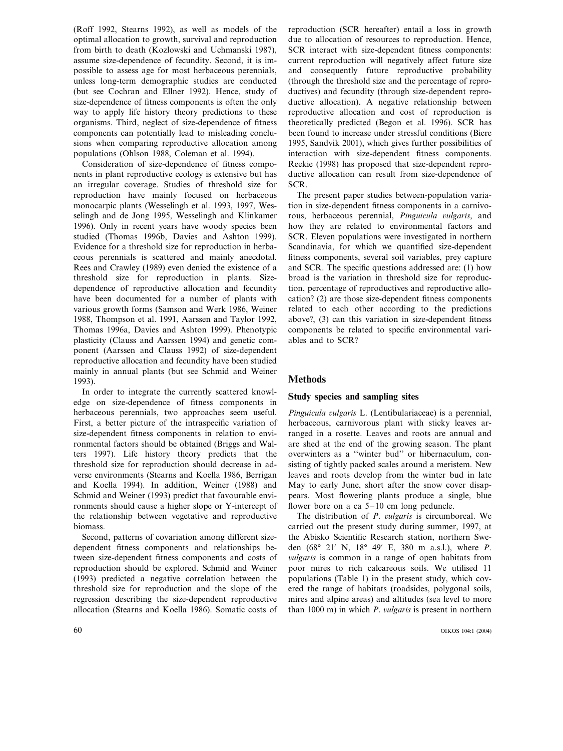(Roff 1992, Stearns 1992), as well as models of the optimal allocation to growth, survival and reproduction from birth to death (Kozlowski and Uchmanski 1987), assume size-dependence of fecundity. Second, it is impossible to assess age for most herbaceous perennials, unless long-term demographic studies are conducted (but see Cochran and Ellner 1992). Hence, study of size-dependence of fitness components is often the only way to apply life history theory predictions to these organisms. Third, neglect of size-dependence of fitness components can potentially lead to misleading conclusions when comparing reproductive allocation among populations (Ohlson 1988, Coleman et al. 1994).

Consideration of size-dependence of fitness components in plant reproductive ecology is extensive but has an irregular coverage. Studies of threshold size for reproduction have mainly focused on herbaceous monocarpic plants (Wesselingh et al. 1993, 1997, Wesselingh and de Jong 1995, Wesselingh and Klinkamer 1996). Only in recent years have woody species been studied (Thomas 1996b, Davies and Ashton 1999). Evidence for a threshold size for reproduction in herbaceous perennials is scattered and mainly anecdotal. Rees and Crawley (1989) even denied the existence of a threshold size for reproduction in plants. Sizedependence of reproductive allocation and fecundity have been documented for a number of plants with various growth forms (Samson and Werk 1986, Weiner 1988, Thompson et al. 1991, Aarssen and Taylor 1992, Thomas 1996a, Davies and Ashton 1999). Phenotypic plasticity (Clauss and Aarssen 1994) and genetic component (Aarssen and Clauss 1992) of size-dependent reproductive allocation and fecundity have been studied mainly in annual plants (but see Schmid and Weiner 1993).

In order to integrate the currently scattered knowledge on size-dependence of fitness components in herbaceous perennials, two approaches seem useful. First, a better picture of the intraspecific variation of size-dependent fitness components in relation to environmental factors should be obtained (Briggs and Walters 1997). Life history theory predicts that the threshold size for reproduction should decrease in adverse environments (Stearns and Koella 1986, Berrigan and Koella 1994). In addition, Weiner (1988) and Schmid and Weiner (1993) predict that favourable environments should cause a higher slope or Y-intercept of the relationship between vegetative and reproductive biomass.

Second, patterns of covariation among different sizedependent fitness components and relationships between size-dependent fitness components and costs of reproduction should be explored. Schmid and Weiner (1993) predicted a negative correlation between the threshold size for reproduction and the slope of the regression describing the size-dependent reproductive allocation (Stearns and Koella 1986). Somatic costs of

reproduction (SCR hereafter) entail a loss in growth due to allocation of resources to reproduction. Hence, SCR interact with size-dependent fitness components: current reproduction will negatively affect future size and consequently future reproductive probability (through the threshold size and the percentage of reproductives) and fecundity (through size-dependent reproductive allocation). A negative relationship between reproductive allocation and cost of reproduction is theoretically predicted (Begon et al. 1996). SCR has been found to increase under stressful conditions (Biere 1995, Sandvik 2001), which gives further possibilities of interaction with size-dependent fitness components. Reekie (1998) has proposed that size-dependent reproductive allocation can result from size-dependence of SCR.

The present paper studies between-population variation in size-dependent fitness components in a carnivorous, herbaceous perennial, Pinguicula vulgaris, and how they are related to environmental factors and SCR. Eleven populations were investigated in northern Scandinavia, for which we quantified size-dependent fitness components, several soil variables, prey capture and SCR. The specific questions addressed are: (1) how broad is the variation in threshold size for reproduction, percentage of reproductives and reproductive allocation? (2) are those size-dependent fitness components related to each other according to the predictions above?, (3) can this variation in size-dependent fitness components be related to specific environmental variables and to SCR?

# **Methods**

# **Study species and sampling sites**

Pinguicula vulgaris L. (Lentibulariaceae) is a perennial, herbaceous, carnivorous plant with sticky leaves arranged in a rosette. Leaves and roots are annual and are shed at the end of the growing season. The plant overwinters as a ''winter bud'' or hibernaculum, consisting of tightly packed scales around a meristem. New leaves and roots develop from the winter bud in late May to early June, short after the snow cover disappears. Most flowering plants produce a single, blue flower bore on a ca 5–10 cm long peduncle.

The distribution of *P. vulgaris* is circumboreal. We carried out the present study during summer, 1997, at the Abisko Scientific Research station, northern Sweden (68° 21 N, 18° 49 E, 380 m a.s.l.), where *P*. -*ulgaris* is common in a range of open habitats from poor mires to rich calcareous soils. We utilised 11 populations (Table 1) in the present study, which covered the range of habitats (roadsides, polygonal soils, mires and alpine areas) and altitudes (sea level to more than 1000 m) in which *P. vulgaris* is present in northern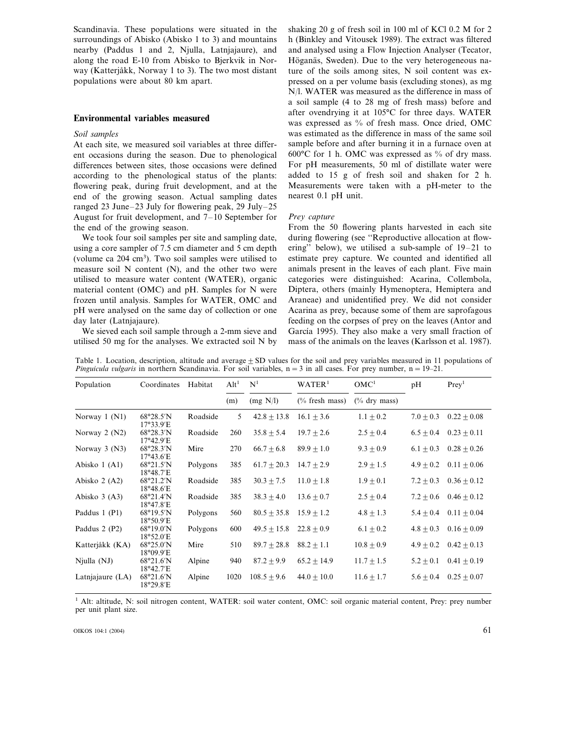Scandinavia. These populations were situated in the surroundings of Abisko (Abisko 1 to 3) and mountains nearby (Paddus 1 and 2, Njulla, Latnjajaure), and along the road E-10 from Abisko to Bjerkvik in Norway (Katterjåkk, Norway 1 to 3). The two most distant populations were about 80 km apart.

# **Environmental variables measured**

#### *Soil samples*

At each site, we measured soil variables at three different occasions during the season. Due to phenological differences between sites, those occasions were defined according to the phenological status of the plants: flowering peak, during fruit development, and at the end of the growing season. Actual sampling dates ranged 23 June–23 July for flowering peak, 29 July–25 August for fruit development, and 7–10 September for the end of the growing season.

We took four soil samples per site and sampling date, using a core sampler of 7.5 cm diameter and 5 cm depth (volume ca 204 cm<sup>3</sup>). Two soil samples were utilised to measure soil  $N$  content  $(N)$ , and the other two were utilised to measure water content (WATER), organic material content (OMC) and pH. Samples for N were frozen until analysis. Samples for WATER, OMC and pH were analysed on the same day of collection or one day later (Latnjajaure).

We sieved each soil sample through a 2-mm sieve and utilised 50 mg for the analyses. We extracted soil N by

shaking 20 g of fresh soil in 100 ml of KCl 0.2 M for 2 h (Binkley and Vitousek 1989). The extract was filtered and analysed using a Flow Injection Analyser (Tecator, Höganäs, Sweden). Due to the very heterogeneous nature of the soils among sites, N soil content was expressed on a per volume basis (excluding stones), as mg N/l. WATER was measured as the difference in mass of a soil sample (4 to 28 mg of fresh mass) before and after ovendrying it at 105°C for three days. WATER was expressed as % of fresh mass. Once dried, OMC was estimated as the difference in mass of the same soil sample before and after burning it in a furnace oven at 600°C for 1 h. OMC was expressed as % of dry mass. For pH measurements, 50 ml of distillate water were added to 15 g of fresh soil and shaken for 2 h. Measurements were taken with a pH-meter to the nearest 0.1 pH unit.

#### *Prey capture*

From the 50 flowering plants harvested in each site during flowering (see ''Reproductive allocation at flowering'' below), we utilised a sub-sample of 19–21 to estimate prey capture. We counted and identified all animals present in the leaves of each plant. Five main categories were distinguished: Acarina, Collembola, Diptera, others (mainly Hymenoptera, Hemiptera and Araneae) and unidentified prey. We did not consider Acarina as prey, because some of them are saprofagous feeding on the corpses of prey on the leaves (Antor and García 1995). They also make a very small fraction of mass of the animals on the leaves (Karlsson et al. 1987).

Table 1. Location, description, altitude and average  $+$  SD values for the soil and prey variables measured in 11 populations of *Pinguicula vulgaris* in northern Scandinavia. For soil variables, n = 3 in all cases. For prey number, n = 19–21.

| Population       | Coordinates                              | Habitat  | Alt <sup>1</sup> | $N^1$           | WATER <sup>1</sup> | OMC <sup>1</sup> | pH          | Prev <sup>1</sup> |
|------------------|------------------------------------------|----------|------------------|-----------------|--------------------|------------------|-------------|-------------------|
|                  |                                          |          | (m)              | (mg N/l)        | $(\%$ fresh mass)  | $(\%$ dry mass)  |             |                   |
| Norway 1 (N1)    | 68°28.5'N<br>$17^{\circ}33.9'E$          | Roadside | 5                | $42.8 + 13.8$   | $16.1 + 3.6$       | $1.1 \pm 0.2$    | $7.0 + 0.3$ | $0.22 + 0.08$     |
| Norway $2(N2)$   | $68^{\circ}28.3'N$<br>$17^{\circ}42.9'E$ | Roadside | 260              | $35.8 \pm 5.4$  | $19.7 + 2.6$       | $2.5 \pm 0.4$    | $6.5 + 0.4$ | $0.23 + 0.11$     |
| Norway $3(N3)$   | 68°28.3'N<br>$17^{\circ}43.6'E$          | Mire     | 270              | $66.7 + 6.8$    | $89.9 + 1.0$       | $9.3 + 0.9$      | $6.1 + 0.3$ | $0.28 + 0.26$     |
| Abisko 1 (A1)    | 68°21.5'N<br>18°48.7'E                   | Polygons | 385              | $61.7 \pm 20.3$ | $14.7 + 2.9$       | $2.9 \pm 1.5$    | $4.9 + 0.2$ | $0.11 + 0.06$     |
| Abisko $2(A2)$   | 68°21.2'N<br>18°48.6'E                   | Roadside | 385              | $30.3 \pm 7.5$  | $11.0 + 1.8$       | $1.9 \pm 0.1$    | $7.2 + 0.3$ | $0.36 \pm 0.12$   |
| Abisko $3(A3)$   | $68^{\circ}21.4'N$<br>18°47.8'E          | Roadside | 385              | $38.3 + 4.0$    | $13.6 + 0.7$       | $2.5 \pm 0.4$    | $7.2 + 0.6$ | $0.46 \pm 0.12$   |
| Paddus 1 (P1)    | $68^{\circ}19.5'N$<br>18°50.9'E          | Polygons | 560              | $80.5 + 35.8$   | $15.9 \pm 1.2$     | $4.8 \pm 1.3$    | $5.4 + 0.4$ | $0.11 + 0.04$     |
| Paddus 2 (P2)    | $68^{\circ}19.0^{\prime}N$<br>18°52.0'E  | Polygons | 600              | $49.5 + 15.8$   | $22.8 + 0.9$       | $6.1 + 0.2$      | $4.8 + 0.3$ | $0.16 + 0.09$     |
| Katterjåkk (KA)  | 68°25.0'N<br>$18^{\circ}09.9'E$          | Mire     | 510              | $89.7 \pm 28.8$ | $88.2 + 1.1$       | $10.8 \pm 0.9$   | $4.9 + 0.2$ | $0.42 + 0.13$     |
| $N$ julla $(NJ)$ | $68^{\circ}21.6'$ N<br>18°42.7'E         | Alpine   | 940              | $87.2 + 9.9$    | $65.2 + 14.9$      | $11.7 \pm 1.5$   | $5.2 + 0.1$ | $0.41 + 0.19$     |
| Latnjajaure (LA) | 68°21.6'N<br>18°29.8'E                   | Alpine   | 1020             | $108.5 + 9.6$   | $44.0 + 10.0$      | $11.6 + 1.7$     | $5.6 + 0.4$ | $0.25 \pm 0.07$   |

<sup>1</sup> Alt: altitude, N: soil nitrogen content, WATER: soil water content, OMC: soil organic material content, Prey: prey number per unit plant size.

OIKOS 104:1 (2004) 61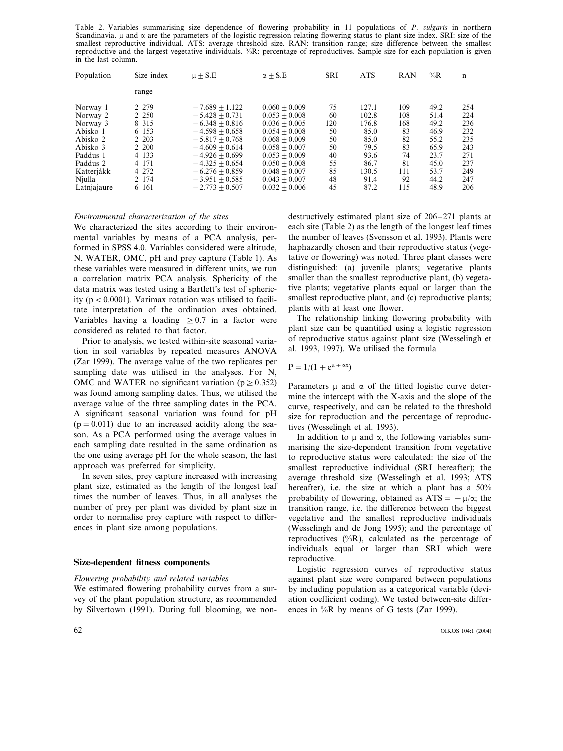Table 2. Variables summarising size dependence of flowering probability in 11 populations of *P. vulgaris* in northern Scandinavia.  $\mu$  and  $\alpha$  are the parameters of the logistic regression relating flowering status to plant size index. SRI: size of the smallest reproductive individual. ATS: average threshold size. RAN: transition range; size difference between the smallest reproductive and the largest vegetative individuals. %R: percentage of reproductives. Sample size for each population is given in the last column.

| Population  | Size index | $\mu \pm S.E$    | $\alpha + S.E$  | <b>SRI</b> | <b>ATS</b> | <b>RAN</b> | $\%R$ | $\mathbf n$ |
|-------------|------------|------------------|-----------------|------------|------------|------------|-------|-------------|
|             | range      |                  |                 |            |            |            |       |             |
| Norway 1    | $2 - 279$  | $-7.689 + 1.122$ | $0.060 + 0.009$ | 75         | 127.1      | 109        | 49.2  | 254         |
| Norway 2    | $2 - 250$  | $-5.428 + 0.731$ | $0.053 + 0.008$ | 60         | 102.8      | 108        | 51.4  | 224         |
| Norway 3    | $8 - 315$  | $-6.348 + 0.816$ | $0.036 + 0.005$ | 120        | 176.8      | 168        | 49.2  | 236         |
| Abisko 1    | $6 - 153$  | $-4.598 + 0.658$ | $0.054 + 0.008$ | 50         | 85.0       | 83         | 46.9  | 232         |
| Abisko 2    | $2 - 203$  | $-5.817 + 0.768$ | $0.068 + 0.009$ | 50         | 85.0       | 82         | 55.2  | 235         |
| Abisko 3    | $2 - 200$  | $-4.609 + 0.614$ | $0.058 + 0.007$ | 50         | 79.5       | 83         | 65.9  | 243         |
| Paddus 1    | $4 - 133$  | $-4.926 + 0.699$ | $0.053 + 0.009$ | 40         | 93.6       | 74         | 23.7  | 271         |
| Paddus 2    | $4 - 171$  | $-4.325 + 0.654$ | $0.050 + 0.008$ | 55         | 86.7       | 81         | 45.0  | 237         |
| Katterjåkk  | $4 - 272$  | $-6.276 + 0.859$ | $0.048 + 0.007$ | 85         | 130.5      | 111        | 53.7  | 249         |
| Njulla      | $2 - 174$  | $-3.951 + 0.585$ | $0.043 + 0.007$ | 48         | 91.4       | 92         | 44.2  | 247         |
| Latnjajaure | $6 - 161$  | $-2.773 + 0.507$ | $0.032 + 0.006$ | 45         | 87.2       | 115        | 48.9  | 206         |

#### *En*-*ironmental characterization of the sites*

We characterized the sites according to their environmental variables by means of a PCA analysis, performed in SPSS 4.0. Variables considered were altitude, N, WATER, OMC, pH and prey capture (Table 1). As these variables were measured in different units, we run a correlation matrix PCA analysis. Sphericity of the data matrix was tested using a Bartlett's test of sphericity ( $p < 0.0001$ ). Varimax rotation was utilised to facilitate interpretation of the ordination axes obtained. Variables having a loading  $\geq 0.7$  in a factor were considered as related to that factor.

Prior to analysis, we tested within-site seasonal variation in soil variables by repeated measures ANOVA (Zar 1999). The average value of the two replicates per sampling date was utilised in the analyses. For N, OMC and WATER no significant variation ( $p \geq 0.352$ ) was found among sampling dates. Thus, we utilised the average value of the three sampling dates in the PCA. A significant seasonal variation was found for pH  $(p=0.011)$  due to an increased acidity along the season. As a PCA performed using the average values in each sampling date resulted in the same ordination as the one using average pH for the whole season, the last approach was preferred for simplicity.

In seven sites, prey capture increased with increasing plant size, estimated as the length of the longest leaf times the number of leaves. Thus, in all analyses the number of prey per plant was divided by plant size in order to normalise prey capture with respect to differences in plant size among populations.

#### **Size-dependent fitness components**

#### $Flowering probability and related variables$

We estimated flowering probability curves from a survey of the plant population structure, as recommended by Silvertown (1991). During full blooming, we non-

destructively estimated plant size of 206–271 plants at each site (Table 2) as the length of the longest leaf times the number of leaves (Svensson et al. 1993). Plants were haphazardly chosen and their reproductive status (vegetative or flowering) was noted. Three plant classes were distinguished: (a) juvenile plants; vegetative plants smaller than the smallest reproductive plant, (b) vegetative plants; vegetative plants equal or larger than the smallest reproductive plant, and (c) reproductive plants; plants with at least one flower.

The relationship linking flowering probability with plant size can be quantified using a logistic regression of reproductive status against plant size (Wesselingh et al. 1993, 1997). We utilised the formula

$$
P = 1/(1 + e^{\mu + \alpha x})
$$

Parameters  $\mu$  and  $\alpha$  of the fitted logistic curve determine the intercept with the X-axis and the slope of the curve, respectively, and can be related to the threshold size for reproduction and the percentage of reproductives (Wesselingh et al. 1993).

In addition to  $\mu$  and  $\alpha$ , the following variables summarising the size-dependent transition from vegetative to reproductive status were calculated: the size of the smallest reproductive individual (SRI hereafter); the average threshold size (Wesselingh et al. 1993; ATS hereafter), i.e. the size at which a plant has a  $50\%$ probability of flowering, obtained as  $ATS = -\mu/\alpha$ ; the transition range, i.e. the difference between the biggest vegetative and the smallest reproductive individuals (Wesselingh and de Jong 1995); and the percentage of reproductives  $(^{\circ}\%R)$ , calculated as the percentage of individuals equal or larger than SRI which were reproductive.

Logistic regression curves of reproductive status against plant size were compared between populations by including population as a categorical variable (deviation coefficient coding). We tested between-site differences in %R by means of G tests (Zar 1999).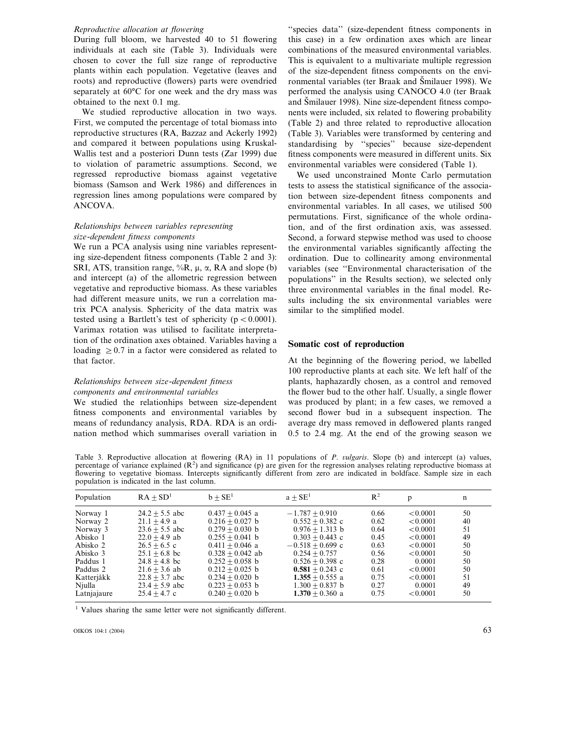## *Reproducti*-*e allocation at flowering*

During full bloom, we harvested 40 to 51 flowering individuals at each site (Table 3). Individuals were chosen to cover the full size range of reproductive plants within each population. Vegetative (leaves and roots) and reproductive (flowers) parts were ovendried separately at 60°C for one week and the dry mass was obtained to the next 0.1 mg.

We studied reproductive allocation in two ways. First, we computed the percentage of total biomass into reproductive structures (RA, Bazzaz and Ackerly 1992) and compared it between populations using Kruskal-Wallis test and a posteriori Dunn tests (Zar 1999) due to violation of parametric assumptions. Second, we regressed reproductive biomass against vegetative biomass (Samson and Werk 1986) and differences in regression lines among populations were compared by ANCOVA.

## $R$ elationships between variables representing *size*-*dependent fitness components*

We run a PCA analysis using nine variables representing size-dependent fitness components (Table 2 and 3): SRI, ATS, transition range,  $\%R$ ,  $\mu$ ,  $\alpha$ , RA and slope (b) and intercept (a) of the allometric regression between vegetative and reproductive biomass. As these variables had different measure units, we run a correlation matrix PCA analysis. Sphericity of the data matrix was tested using a Bartlett's test of sphericity ( $p < 0.0001$ ). Varimax rotation was utilised to facilitate interpretation of the ordination axes obtained. Variables having a loading  $\geq 0.7$  in a factor were considered as related to that factor.

# *Relationships between size*-*dependent fitness components and en*-*ironmental* -*ariables*

We studied the relationhips between size-dependent fitness components and environmental variables by means of redundancy analysis, RDA. RDA is an ordination method which summarises overall variation in

''species data'' (size-dependent fitness components in this case) in a few ordination axes which are linear combinations of the measured environmental variables. This is equivalent to a multivariate multiple regression of the size-dependent fitness components on the environmental variables (ter Braak and Smilauer 1998). We performed the analysis using CANOCO 4.0 (ter Braak and Smilauer 1998). Nine size-dependent fitness components were included, six related to flowering probability (Table 2) and three related to reproductive allocation (Table 3). Variables were transformed by centering and standardising by ''species'' because size-dependent fitness components were measured in different units. Six environmental variables were considered (Table 1).

We used unconstrained Monte Carlo permutation tests to assess the statistical significance of the association between size-dependent fitness components and environmental variables. In all cases, we utilised 500 permutations. First, significance of the whole ordination, and of the first ordination axis, was assessed. Second, a forward stepwise method was used to choose the environmental variables significantly affecting the ordination. Due to collinearity among environmental variables (see ''Environmental characterisation of the populations'' in the Results section), we selected only three environmental variables in the final model. Results including the six environmental variables were similar to the simplified model.

## **Somatic cost of reproduction**

At the beginning of the flowering period, we labelled 100 reproductive plants at each site. We left half of the plants, haphazardly chosen, as a control and removed the flower bud to the other half. Usually, a single flower was produced by plant; in a few cases, we removed a second flower bud in a subsequent inspection. The average dry mass removed in deflowered plants ranged 0.5 to 2.4 mg. At the end of the growing season we

Table 3. Reproductive allocation at flowering (RA) in 11 populations of *P. vulgaris*. Slope (b) and intercept (a) values, percentage of variance explained  $(R^2)$  and significance (p) are given for the regression analyses relating reproductive biomass at flowering to vegetative biomass. Intercepts significantly different from zero are indicated in boldface. Sample size in each population is indicated in the last column.

| n  | p        | $R^2$ | $a + SE1$          | $b + SE1$           | $RA + SD1$       | Population  |
|----|----------|-------|--------------------|---------------------|------------------|-------------|
| 50 | < 0.0001 | 0.66  | $-1.787 + 0.910$   | $0.437 + 0.045$ a   | $24.2 + 5.5$ abc | Norway 1    |
| 40 | < 0.0001 | 0.62  | $0.552 + 0.382$ c  | $0.216 + 0.027$ b   | $21.1 + 4.9$ a   | Norway 2    |
| 51 | < 0.0001 | 0.64  | $0.976 + 1.313$ b  | $0.279 + 0.030$ b   | $23.6 + 5.5$ abc | Norway 3    |
| 49 | < 0.0001 | 0.45  | $0.303 + 0.443$ c  | $0.255 + 0.041$ b   | $22.0 + 4.9$ ab  | Abisko 1    |
| 50 | < 0.0001 | 0.63  | $-0.518 + 0.699$ c | $0.411 + 0.046$ a   | $26.5 + 6.5$ c   | Abisko 2    |
| 50 | < 0.0001 | 0.56  | $0.254 + 0.757$    | $0.328 + 0.042$ ab  | $25.1 + 6.8$ bc  | Abisko 3    |
| 50 | 0.0001   | 0.28  | $0.526 + 0.398$ c  | $0.252 + 0.058$ b   | $24.8 + 4.8$ bc  | Paddus 1    |
| 50 | < 0.0001 | 0.61  | $0.581 + 0.243$ c  | $0.212 + 0.025$ b   | $21.6 + 3.6$ ab  | Paddus 2    |
| 51 | < 0.0001 | 0.75  | $1.355 + 0.555$ a  | $0.234 + 0.020$ b   | $22.8 + 3.7$ abc | Katterjåkk  |
| 49 | 0.0001   | 0.27  | $1.300 + 0.837$ b  | $0.223 + 0.053$ b   | $23.4 + 5.9$ abc | Njulla      |
| 50 | < 0.0001 | 0.75  | $1.370 + 0.360$ a  | $0.240 \pm 0.020$ b | $25.4 + 4.7$ c   | Latnjajaure |
|    |          |       |                    |                     |                  |             |

<sup>1</sup> Values sharing the same letter were not significantly different.

OIKOS 104:1 (2004) 63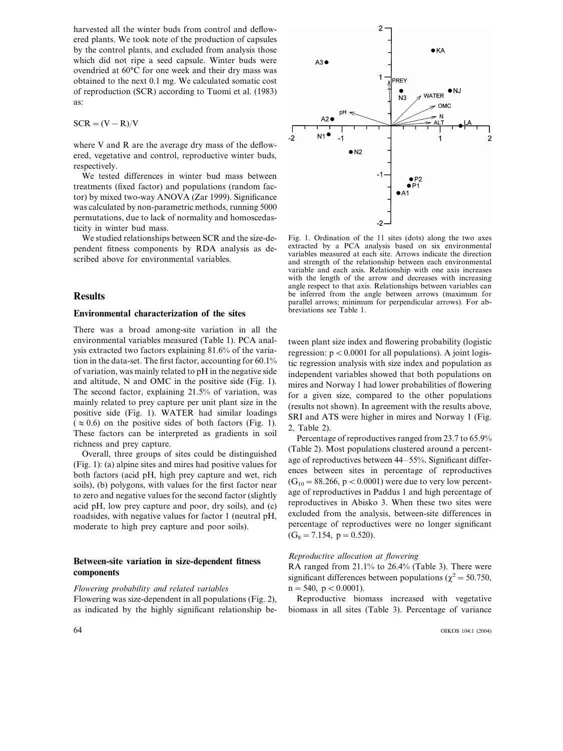harvested all the winter buds from control and deflowered plants. We took note of the production of capsules by the control plants, and excluded from analysis those which did not ripe a seed capsule. Winter buds were ovendried at 60°C for one week and their dry mass was obtained to the next 0.1 mg. We calculated somatic cost of reproduction (SCR) according to Tuomi et al. (1983) as:

$$
SCR = (V - R)/V
$$

where V and R are the average dry mass of the deflowered, vegetative and control, reproductive winter buds, respectively.

We tested differences in winter bud mass between treatments (fixed factor) and populations (random factor) by mixed two-way ANOVA (Zar 1999). Significance was calculated by non-parametric methods, running 5000 permutations, due to lack of normality and homoscedasticity in winter bud mass.

We studied relationships between SCR and the size-dependent fitness components by RDA analysis as described above for environmental variables.

### **Results**

# **Environmental characterization of the sites**

There was a broad among-site variation in all the environmental variables measured (Table 1). PCA analysis extracted two factors explaining 81.6% of the variation in the data-set. The first factor, accounting for 60.1% of variation, was mainly related to pH in the negative side and altitude, N and OMC in the positive side (Fig. 1). The second factor, explaining 21.5% of variation, was mainly related to prey capture per unit plant size in the positive side (Fig. 1). WATER had similar loadings  $(z \approx 0.6)$  on the positive sides of both factors (Fig. 1). These factors can be interpreted as gradients in soil richness and prey capture.

Overall, three groups of sites could be distinguished (Fig. 1): (a) alpine sites and mires had positive values for both factors (acid pH, high prey capture and wet, rich soils), (b) polygons, with values for the first factor near to zero and negative values for the second factor (slightly acid pH, low prey capture and poor, dry soils), and (c) roadsides, with negative values for factor 1 (neutral pH, moderate to high prey capture and poor soils).

# **Between-site variation in size-dependent fitness components**

#### $Flowering probability and related variables$

Flowering was size-dependent in all populations (Fig. 2), as indicated by the highly significant relationship be-



Fig. 1. Ordination of the 11 sites (dots) along the two axes extracted by a PCA analysis based on six environmental variables measured at each site. Arrows indicate the direction and strength of the relationship between each environmental variable and each axis. Relationship with one axis increases with the length of the arrow and decreases with increasing angle respect to that axis. Relationships between variables can be inferred from the angle between arrows (maximum for parallel arrows; minimum for perpendicular arrows). For abbreviations see Table 1.

tween plant size index and flowering probability (logistic regression:  $p < 0.0001$  for all populations). A joint logistic regression analysis with size index and population as independent variables showed that both populations on mires and Norway 1 had lower probabilities of flowering for a given size, compared to the other populations (results not shown). In agreement with the results above, SRI and ATS were higher in mires and Norway 1 (Fig. 2, Table 2).

Percentage of reproductives ranged from 23.7 to 65.9% (Table 2). Most populations clustered around a percentage of reproductives between 44–55%. Significant differences between sites in percentage of reproductives  $(G_{10} = 88.266, p < 0.0001)$  were due to very low percentage of reproductives in Paddus 1 and high percentage of reproductives in Abisko 3. When these two sites were excluded from the analysis, between-site differences in percentage of reproductives were no longer significant  $(G_8 = 7.154, p = 0.520).$ 

### *Reproducti*-*e allocation at flowering*

RA ranged from 21.1% to 26.4% (Table 3). There were significant differences between populations ( $\chi^2$  = 50.750,  $n = 540$ ,  $p < 0.0001$ ).

Reproductive biomass increased with vegetative biomass in all sites (Table 3). Percentage of variance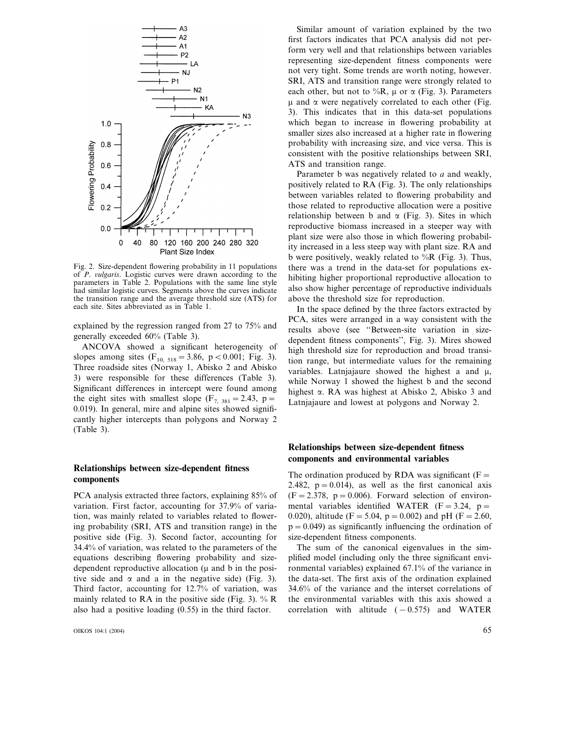

Fig. 2. Size-dependent flowering probability in 11 populations of *P. vulgaris*. Logistic curves were drawn according to the parameters in Table 2. Populations with the same line style had similar logistic curves. Segments above the curves indicate the transition range and the average threshold size (ATS) for each site. Sites abbreviated as in Table 1.

explained by the regression ranged from 27 to 75% and generally exceeded 60% (Table 3).

ANCOVA showed a significant heterogeneity of slopes among sites  $(F_{10, 518} = 3.86, p < 0.001; Fig. 3)$ . Three roadside sites (Norway 1, Abisko 2 and Abisko 3) were responsible for these differences (Table 3). Significant differences in intercept were found among the eight sites with smallest slope  $(F_{7, 381} = 2.43, p =$ 0.019). In general, mire and alpine sites showed significantly higher intercepts than polygons and Norway 2 (Table 3).

# **Relationships between size-dependent fitness components**

PCA analysis extracted three factors, explaining 85% of variation. First factor, accounting for 37.9% of variation, was mainly related to variables related to flowering probability (SRI, ATS and transition range) in the positive side (Fig. 3). Second factor, accounting for 34.4% of variation, was related to the parameters of the equations describing flowering probability and sizedependent reproductive allocation  $(\mu$  and b in the positive side and  $\alpha$  and a in the negative side) (Fig. 3). Third factor, accounting for 12.7% of variation, was mainly related to RA in the positive side (Fig. 3).  $%$  R also had a positive loading (0.55) in the third factor.

OIKOS 104:1 (2004) 65

Similar amount of variation explained by the two first factors indicates that PCA analysis did not perform very well and that relationships between variables representing size-dependent fitness components were not very tight. Some trends are worth noting, however. SRI, ATS and transition range were strongly related to each other, but not to %R,  $\mu$  or  $\alpha$  (Fig. 3). Parameters  $\mu$  and  $\alpha$  were negatively correlated to each other (Fig. 3). This indicates that in this data-set populations which began to increase in flowering probability at smaller sizes also increased at a higher rate in flowering probability with increasing size, and vice versa. This is consistent with the positive relationships between SRI, ATS and transition range.

Parameter b was negatively related to *a* and weakly, positively related to RA (Fig. 3). The only relationships between variables related to flowering probability and those related to reproductive allocation were a positive relationship between b and  $\alpha$  (Fig. 3). Sites in which reproductive biomass increased in a steeper way with plant size were also those in which flowering probability increased in a less steep way with plant size. RA and b were positively, weakly related to  $\%$ R (Fig. 3). Thus, there was a trend in the data-set for populations exhibiting higher proportional reproductive allocation to also show higher percentage of reproductive individuals above the threshold size for reproduction.

In the space defined by the three factors extracted by PCA, sites were arranged in a way consistent with the results above (see ''Between-site variation in sizedependent fitness components'', Fig. 3). Mires showed high threshold size for reproduction and broad transition range, but intermediate values for the remaining variables. Latnjajaure showed the highest a and  $\mu$ , while Norway 1 showed the highest b and the second highest  $\alpha$ . RA was highest at Abisko 2, Abisko 3 and Latnjajaure and lowest at polygons and Norway 2.

# **Relationships between size-dependent fitness components and environmental variables**

The ordination produced by RDA was significant  $(F =$ 2.482,  $p = 0.014$ , as well as the first canonical axis  $(F=2.378, p=0.006)$ . Forward selection of environmental variables identified WATER  $(F=3.24, p=$ 0.020), altitude (F = 5.04, p = 0.002) and pH (F = 2.60,  $p = 0.049$ ) as significantly influencing the ordination of size-dependent fitness components.

The sum of the canonical eigenvalues in the simplified model (including only the three significant environmental variables) explained 67.1% of the variance in the data-set. The first axis of the ordination explained 34.6% of the variance and the interset correlations of the environmental variables with this axis showed a correlation with altitude  $(-0.575)$  and WATER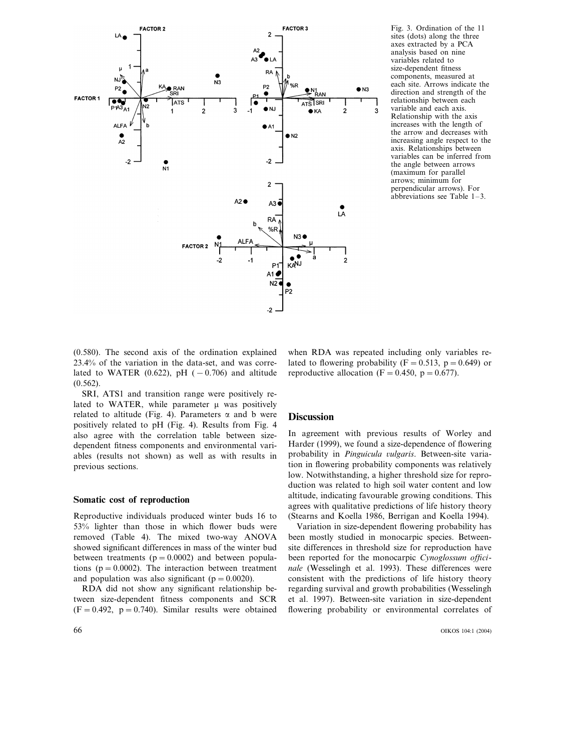

Fig. 3. Ordination of the 11 sites (dots) along the three axes extracted by a PCA analysis based on nine variables related to size-dependent fitness components, measured at each site. Arrows indicate the direction and strength of the relationship between each variable and each axis. Relationship with the axis increases with the length of the arrow and decreases with increasing angle respect to the axis. Relationships between variables can be inferred from the angle between arrows (maximum for parallel arrows; minimum for perpendicular arrows). For abbreviations see Table  $1-3$ .

(0.580). The second axis of the ordination explained 23.4% of the variation in the data-set, and was correlated to WATER (0.622), pH ( $-0.706$ ) and altitude (0.562).

SRI, ATS1 and transition range were positively related to WATER, while parameter  $\mu$  was positively related to altitude (Fig. 4). Parameters  $\alpha$  and b were positively related to pH (Fig. 4). Results from Fig. 4 also agree with the correlation table between sizedependent fitness components and environmental variables (results not shown) as well as with results in previous sections.

## **Somatic cost of reproduction**

Reproductive individuals produced winter buds 16 to 53% lighter than those in which flower buds were removed (Table 4). The mixed two-way ANOVA showed significant differences in mass of the winter bud between treatments  $(p=0.0002)$  and between populations ( $p = 0.0002$ ). The interaction between treatment and population was also significant ( $p = 0.0020$ ).

RDA did not show any significant relationship between size-dependent fitness components and SCR  $(F=0.492, p=0.740)$ . Similar results were obtained

when RDA was repeated including only variables related to flowering probability ( $F = 0.513$ ,  $p = 0.649$ ) or reproductive allocation (F = 0.450, p = 0.677).

### **Discussion**

In agreement with previous results of Worley and Harder (1999), we found a size-dependence of flowering probability in *Pinguicula vulgaris*. Between-site variation in flowering probability components was relatively low. Notwithstanding, a higher threshold size for reproduction was related to high soil water content and low altitude, indicating favourable growing conditions. This agrees with qualitative predictions of life history theory (Stearns and Koella 1986, Berrigan and Koella 1994).

Variation in size-dependent flowering probability has been mostly studied in monocarpic species. Betweensite differences in threshold size for reproduction have been reported for the monocarpic *Cynoglossum officinale* (Wesselingh et al. 1993). These differences were consistent with the predictions of life history theory regarding survival and growth probabilities (Wesselingh et al. 1997). Between-site variation in size-dependent flowering probability or environmental correlates of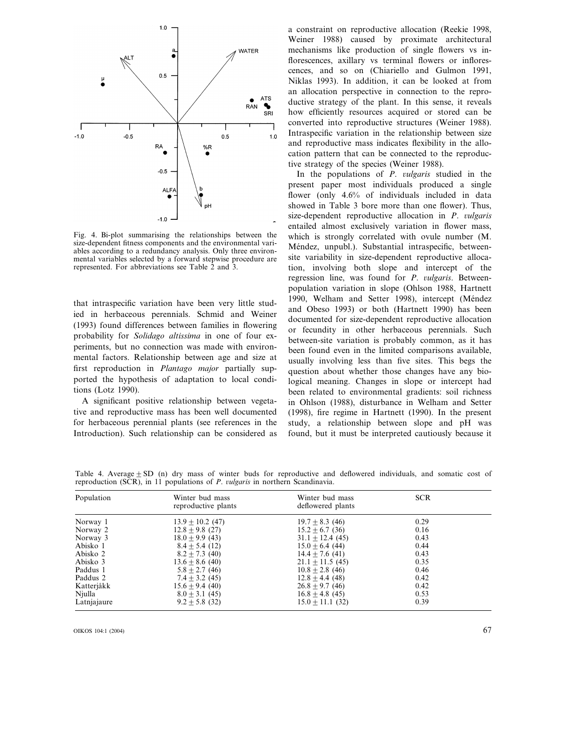

Fig. 4. Bi-plot summarising the relationships between the size-dependent fitness components and the environmental variables according to a redundancy analysis. Only three environmental variables selected by a forward stepwise procedure are represented. For abbreviations see Table 2 and 3.

that intraspecific variation have been very little studied in herbaceous perennials. Schmid and Weiner (1993) found differences between families in flowering probability for *Solidago altissima* in one of four experiments, but no connection was made with environmental factors. Relationship between age and size at first reproduction in *Plantago major* partially supported the hypothesis of adaptation to local conditions (Lotz 1990).

A significant positive relationship between vegetative and reproductive mass has been well documented for herbaceous perennial plants (see references in the Introduction). Such relationship can be considered as

a constraint on reproductive allocation (Reekie 1998, Weiner 1988) caused by proximate architectural mechanisms like production of single flowers vs inflorescences, axillary vs terminal flowers or inflorescences, and so on (Chiariello and Gulmon 1991, Niklas 1993). In addition, it can be looked at from an allocation perspective in connection to the reproductive strategy of the plant. In this sense, it reveals how efficiently resources acquired or stored can be converted into reproductive structures (Weiner 1988). Intraspecific variation in the relationship between size and reproductive mass indicates flexibility in the allocation pattern that can be connected to the reproductive strategy of the species (Weiner 1988).

In the populations of *P. vulgaris* studied in the present paper most individuals produced a single flower (only 4.6% of individuals included in data showed in Table 3 bore more than one flower). Thus, size-dependent reproductive allocation in *P. vulgaris* entailed almost exclusively variation in flower mass, which is strongly correlated with ovule number (M. Méndez, unpubl.). Substantial intraspecific, betweensite variability in size-dependent reproductive allocation, involving both slope and intercept of the regression line, was found for *P. vulgaris*. Betweenpopulation variation in slope (Ohlson 1988, Hartnett 1990, Welham and Setter 1998), intercept (Méndez and Obeso 1993) or both (Hartnett 1990) has been documented for size-dependent reproductive allocation or fecundity in other herbaceous perennials. Such between-site variation is probably common, as it has been found even in the limited comparisons available, usually involving less than five sites. This begs the question about whether those changes have any biological meaning. Changes in slope or intercept had been related to environmental gradients: soil richness in Ohlson (1988), disturbance in Welham and Setter (1998), fire regime in Hartnett (1990). In the present study, a relationship between slope and pH was found, but it must be interpreted cautiously because it

Table 4. Average $\pm$  SD (n) dry mass of winter buds for reproductive and deflowered individuals, and somatic cost of reproduction (SCR), in 11 populations of *P. vulgaris* in northern Scandinavia.

| Population  | Winter bud mass<br>reproductive plants | Winter bud mass<br>deflowered plants | <b>SCR</b> |
|-------------|----------------------------------------|--------------------------------------|------------|
| Norway 1    | $13.9 \pm 10.2$ (47)                   | $19.7 \pm 8.3$ (46)                  | 0.29       |
| Norway 2    | $12.8 \pm 9.8$ (27)                    | $15.2 + 6.7(36)$                     | 0.16       |
| Norway 3    | $18.0 \pm 9.9$ (43)                    | $31.1 \pm 12.4$ (45)                 | 0.43       |
| Abisko 1    | $8.4 + 5.4(12)$                        | $15.0 \pm 6.4$ (44)                  | 0.44       |
| Abisko 2    | $8.2 \pm 7.3$ (40)                     | $14.4 \pm 7.6$ (41)                  | 0.43       |
| Abisko 3    | $13.6 + 8.6(40)$                       | $21.1 + 11.5$ (45)                   | 0.35       |
| Paddus 1    | $5.8 \pm 2.7$ (46)                     | $10.8 \pm 2.8$ (46)                  | 0.46       |
| Paddus 2    | $7.4 \pm 3.2$ (45)                     | $12.8 + 4.4(48)$                     | 0.42       |
| Katterjåkk  | $15.6 + 9.4(40)$                       | $26.8 + 9.7(46)$                     | 0.42       |
| Njulla      | $8.0 \pm 3.1$ (45)                     | $16.8 \pm 4.8$ (45)                  | 0.53       |
| Latnjajaure | $9.2 \pm 5.8$ (32)                     | $15.0 + 11.1(32)$                    | 0.39       |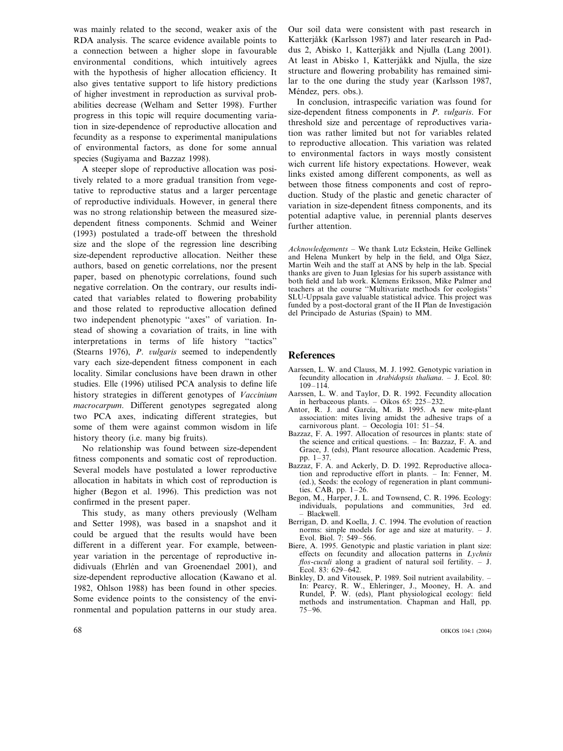was mainly related to the second, weaker axis of the RDA analysis. The scarce evidence available points to a connection between a higher slope in favourable environmental conditions, which intuitively agrees with the hypothesis of higher allocation efficiency. It also gives tentative support to life history predictions of higher investment in reproduction as survival probabilities decrease (Welham and Setter 1998). Further progress in this topic will require documenting variation in size-dependence of reproductive allocation and fecundity as a response to experimental manipulations of environmental factors, as done for some annual species (Sugiyama and Bazzaz 1998).

A steeper slope of reproductive allocation was positively related to a more gradual transition from vegetative to reproductive status and a larger percentage of reproductive individuals. However, in general there was no strong relationship between the measured sizedependent fitness components. Schmid and Weiner (1993) postulated a trade-off between the threshold size and the slope of the regression line describing size-dependent reproductive allocation. Neither these authors, based on genetic correlations, nor the present paper, based on phenotypic correlations, found such negative correlation. On the contrary, our results indicated that variables related to flowering probability and those related to reproductive allocation defined two independent phenotypic ''axes'' of variation. Instead of showing a covariation of traits, in line with interpretations in terms of life history ''tactics'' (Stearns 1976), *P. vulgaris* seemed to independently vary each size-dependent fitness component in each locality. Similar conclusions have been drawn in other studies. Elle (1996) utilised PCA analysis to define life history strategies in different genotypes of *Vaccinium macrocarpum*. Different genotypes segregated along two PCA axes, indicating different strategies, but some of them were against common wisdom in life history theory (i.e. many big fruits).

No relationship was found between size-dependent fitness components and somatic cost of reproduction. Several models have postulated a lower reproductive allocation in habitats in which cost of reproduction is higher (Begon et al. 1996). This prediction was not confirmed in the present paper.

This study, as many others previously (Welham and Setter 1998), was based in a snapshot and it could be argued that the results would have been different in a different year. For example, betweenyear variation in the percentage of reproductive indidivuals (Ehrlén and van Groenendael 2001), and size-dependent reproductive allocation (Kawano et al. 1982, Ohlson 1988) has been found in other species. Some evidence points to the consistency of the environmental and population patterns in our study area. Our soil data were consistent with past research in Katterjåkk (Karlsson 1987) and later research in Paddus 2, Abisko 1, Katterjåkk and Njulla (Lang 2001). At least in Abisko 1, Katterjåkk and Njulla, the size structure and flowering probability has remained similar to the one during the study year (Karlsson 1987, Méndez, pers. obs.).

In conclusion, intraspecific variation was found for size-dependent fitness components in *P. vulgaris*. For threshold size and percentage of reproductives variation was rather limited but not for variables related to reproductive allocation. This variation was related to environmental factors in ways mostly consistent wich current life history expectations. However, weak links existed among different components, as well as between those fitness components and cost of reproduction. Study of the plastic and genetic character of variation in size-dependent fitness components, and its potential adaptive value, in perennial plants deserves further attention.

*Acknowledgements* – We thank Lutz Eckstein, Heike Gellinek and Helena Munkert by help in the field, and Olga Sáez, Martin Weih and the staff at ANS by help in the lab. Special thanks are given to Juan Iglesias for his superb assistance with both field and lab work. Klemens Eriksson, Mike Palmer and teachers at the course ''Multivariate methods for ecologists'' SLU-Uppsala gave valuable statistical advice. This project was funded by a post-doctoral grant of the II Plan de Investigación del Principado de Asturias (Spain) to MM.

## **References**

- Aarssen, L. W. and Clauss, M. J. 1992. Genotypic variation in fecundity allocation in *Arabidopsis thaliana*. – J. Ecol. 80: 109–114.
- Aarssen, L. W. and Taylor, D. R. 1992. Fecundity allocation in herbaceous plants. – Oikos 65: 225–232.
- Antor, R. J. and García, M. B. 1995. A new mite-plant association: mites living amidst the adhesive traps of a carnivorous plant. – Oecologia 101: 51–54.
- Bazzaz, F. A. 1997. Allocation of resources in plants: state of the science and critical questions. – In: Bazzaz, F. A. and Grace, J. (eds), Plant resource allocation. Academic Press, pp. 1–37.
- Bazzaz, F. A. and Ackerly, D. D. 1992. Reproductive allocation and reproductive effort in plants. – In: Fenner, M. (ed.), Seeds: the ecology of regeneration in plant communities. CAB, pp. 1–26.
- Begon, M., Harper, J. L. and Townsend, C. R. 1996. Ecology:<br>individuals. populations and communities. 3rd ed. populations and communities, 3rd ed. – Blackwell.
- Berrigan, D. and Koella, J. C. 1994. The evolution of reaction norms: simple models for age and size at maturity. – J. Evol. Biol. 7: 549–566.
- Biere, A. 1995. Genotypic and plastic variation in plant size: effects on fecundity and allocation patterns in *Lychnis flos*-*cuculi* along a gradient of natural soil fertility. – J. Ecol. 83: 629–642.
- Binkley, D. and Vitousek, P. 1989. Soil nutrient availability. In: Pearcy, R. W., Ehleringer, J., Mooney, H. A. and Rundel, P. W. (eds), Plant physiological ecology: field methods and instrumentation. Chapman and Hall, pp. 75–96.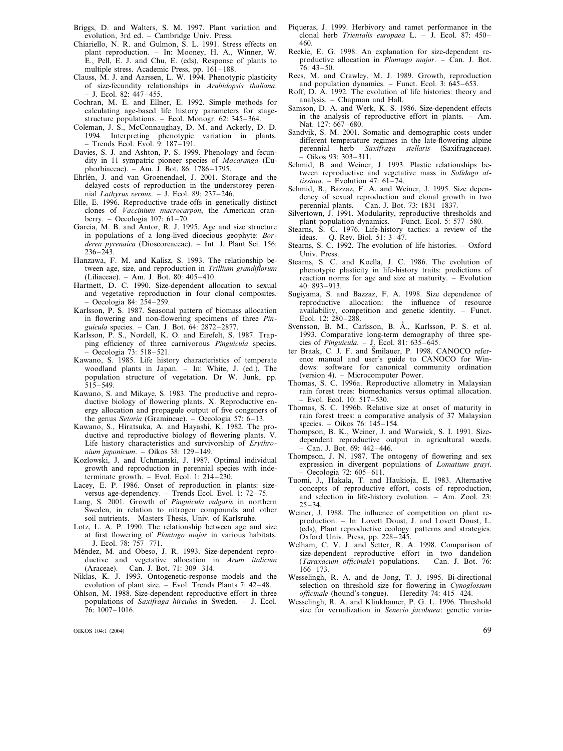- Briggs, D. and Walters, S. M. 1997. Plant variation and evolution, 3rd ed. – Cambridge Univ. Press.
- Chiariello, N. R. and Gulmon, S. L. 1991. Stress effects on plant reproduction. – In: Mooney, H. A., Winner, W. E., Pell, E. J. and Chu, E. (eds), Response of plants to multiple stress. Academic Press, pp. 161–188.
- Clauss, M. J. and Aarssen, L. W. 1994. Phenotypic plasticity of size-fecundity relationships in *Arabidopsis thaliana*. – J. Ecol. 82: 447–455.
- Cochran, M. E. and Ellner, E. 1992. Simple methods for calculating age-based life history parameters for stagestructure populations. – Ecol. Monogr. 62: 345–364.
- Coleman, J. S., McConnaughay, D. M. and Ackerly, D. D. 1994. Interpreting phenotypic variation in plants. – Trends Ecol. Evol. 9: 187–191.
- Davies, S. J. and Ashton, P. S. 1999. Phenology and fecundity in 11 sympatric pioneer species of *Macaranga* (Euphorbiaceae). – Am. J. Bot. 86: 1786–1795.
- Ehrlén, J. and van Groenendael, J. 2001. Storage and the delayed costs of reproduction in the understorey perennial *Lathyrus vernus.* – J. Ecol. 89: 237–246.
- Elle, E. 1996. Reproductive trade-offs in genetically distinct clones of *Vaccinium macrocarpon*, the American cranberry. – Oecologia 107: 61–70.
- García, M. B. and Antor, R. J. 1995. Age and size structure in populations of a long-lived dioecious geophyte: *Borderea pyrenaica* (Dioscoreaceae). – Int. J. Plant Sci. 156: 236–243.
- Hanzawa, F. M. and Kalisz, S. 1993. The relationship between age, size, and reproduction in *Trillium grandiflorum* (Liliaceae). – Am. J. Bot. 80: 405–410.
- Hartnett, D. C. 1990. Size-dependent allocation to sexual and vegetative reproduction in four clonal composites. – Oecologia 84: 254–259.
- Karlsson, P. S. 1987. Seasonal pattern of biomass allocation in flowering and non-flowering specimens of three *Pinguicula* species. – Can. J. Bot. 64: 2872–2877.
- Karlsson, P. S., Nordell, K. O. and Eirefelt, S. 1987. Trapping efficiency of three carnivorous *Pinguicula* species. – Oecologia 73: 518–521.
- Kawano, S. 1985. Life history characteristics of temperate woodland plants in Japan. – In: White, J. (ed.), The population structure of vegetation. Dr W. Junk, pp. 515–549.
- Kawano, S. and Mikaye, S. 1983. The productive and reproductive biology of flowering plants. X. Reproductive energy allocation and propagule output of five congeners of the genus *Setaria* (Gramineae). – Oecologia 57: 6–13.
- Kawano, S., Hiratsuka, A. and Hayashi, K. 1982. The productive and reproductive biology of flowering plants. V. Life history characteristics and survivorship of *Erythronium japonicum*. – Oikos 38: 129–149.
- Kozlowski, J. and Uchmanski, J. 1987. Optimal individual growth and reproduction in perennial species with indeterminate growth. – Evol. Ecol. 1: 214–230.
- Lacey, E. P. 1986. Onset of reproduction in plants: sizeversus age-dependency. – Trends Ecol. Evol. 1: 72–75.
- Lang, S. 2001. Growth of *Pinguicula vulgaris* in northern Sweden, in relation to nitrogen compounds and other soil nutrients.– Masters Thesis, Univ. of Karlsruhe.
- Lotz, L. A. P. 1990. The relationship between age and size at first flowering of *Plantago major* in various habitats. – J. Ecol. 78: 757–771.
- Méndez, M. and Obeso, J. R. 1993. Size-dependent reproductive and vegetative allocation in *Arum italicum* (Araceae). – Can. J. Bot. 71: 309–314.
- Niklas, K. J. 1993. Ontogenetic-response models and the evolution of plant size. – Evol. Trends Plants 7: 42–48.
- Ohlson, M. 1988. Size-dependent reproductive effort in three populations of *Saxifraga hirculus* in Sweden. – J. Ecol. 76: 1007–1016.

OIKOS 104:1 (2004) 69

- Piqueras, J. 1999. Herbivory and ramet performance in the clonal herb *Trientalis europaea* L. – J. Ecol. 87: 450– 460.
- Reekie, E. G. 1998. An explanation for size-dependent reproductive allocation in *Plantago major*. – Can. J. Bot.  $76: 43 - 50.$
- Rees, M. and Crawley, M. J. 1989. Growth, reproduction and population dynamics. – Funct. Ecol. 3: 645–653.
- Roff, D. A. 1992. The evolution of life histories: theory and analysis. – Chapman and Hall.
- Samson, D. A. and Werk, K. S. 1986. Size-dependent effects in the analysis of reproductive effort in plants. – Am. Nat. 127: 667–680.
- Sandvik, S. M. 2001. Somatic and demographic costs under different temperature regimes in the late-flowering alpine perennial herb *Saxifraga stellaris* (Saxifragaceae). – Oikos 93: 303–311.
- Schmid, B. and Weiner, J. 1993. Plastic relationships between reproductive and vegetative mass in *Solidago altissima*. – Evolution 47: 61–74.
- Schmid, B., Bazzaz, F. A. and Weiner, J. 1995. Size dependency of sexual reproduction and clonal growth in two perennial plants. – Can. J. Bot. 73: 1831–1837.
- Silvertown, J. 1991. Modularity, reproductive thresholds and plant population dynamics. – Funct. Ecol. 5: 577–580.
- Stearns, S. C. 1976. Life-history tactics: a review of the ideas. – Q. Rev. Biol. 51:  $3-\frac{4}{7}$ .
- Stearns, S. C. 1992. The evolution of life histories. Oxford Univ. Press.
- Stearns, S. C. and Koella, J. C. 1986. The evolution of phenotypic plasticity in life-history traits: predictions of reaction norms for age and size at maturity. – Evolution  $40.893 - 913$
- Sugiyama, S. and Bazzaz, F. A. 1998. Size dependence of reproductive allocation: the influence of resource availability, competition and genetic identity. – Funct. Ecol. 12: 280–288.
- Svensson, B. M., Carlsson, B. Å., Karlsson, P. S. et al. 1993. Comparative long-term demography of three species of *Pinguicula*. – J. Ecol. 81: 635–645.
- ter Braak, C. J. F. and Smilauer, P. 1998. CANOCO reference manual and user's guide to CANOCO for Windows: software for canonical community ordination (version 4). – Microcomputer Power.
- Thomas, S. C. 1996a. Reproductive allometry in Malaysian rain forest trees: biomechanics versus optimal allocation. – Evol. Ecol. 10: 517–530.
- Thomas, S. C. 1996b. Relative size at onset of maturity in rain forest trees: a comparative analysis of 37 Malaysian species. – Oikos 76: 145–154.
- Thompson, B. K., Weiner, J. and Warwick, S. I. 1991. Sizedependent reproductive output in agricultural weeds. – Can. J. Bot. 69: 442–446.
- Thompson, J. N. 1987. The ontogeny of flowering and sex expression in divergent populations of *Lomatium grayi*. – Oecologia 72: 605–611.
- Tuomi, J., Hakala, T. and Haukioja, E. 1983. Alternative concepts of reproductive effort, costs of reproduction, and selection in life-history evolution. – Am. Zool. 23:  $25 - 34$
- Weiner, J. 1988. The influence of competition on plant reproduction. – In: Lovett Doust, J. and Lovett Doust, L. (eds), Plant reproductive ecology: patterns and strategies. Oxford Univ. Press, pp. 228–245.
- Welham, C. V. J. and Setter, R. A. 1998. Comparison of size-dependent reproductive effort in two dandelion (*Taraxacum officinale*) populations. – Can. J. Bot. 76: 166–173.
- Wesselingh, R. A. and de Jong, T. J. 1995. Bi-directional selection on threshold size for flowering in *Cynoglossum officinale* (hound's-tongue). – Heredity 74: 415–424.
- Wesselingh, R. A. and Klinkhamer, P. G. L. 1996. Threshold size for vernalization in *Senecio jacobaea*: genetic varia-